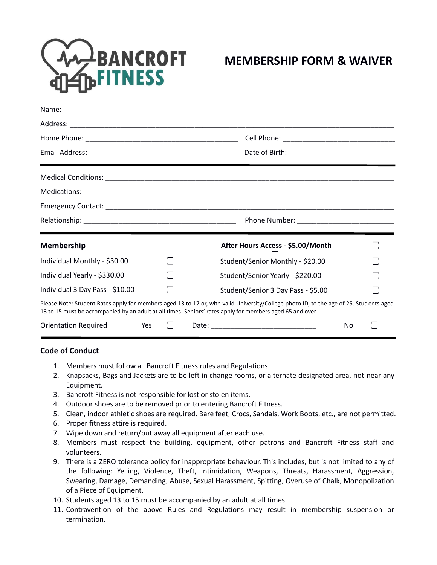

## **MEMBERSHIP FORM & WAIVER**

| <b>Membership</b>               |     |                                |       | After Hours Access - \$5.00/Month                                                                                                                                                                                                                   |    | 冖                              |  |
|---------------------------------|-----|--------------------------------|-------|-----------------------------------------------------------------------------------------------------------------------------------------------------------------------------------------------------------------------------------------------------|----|--------------------------------|--|
| Individual Monthly - \$30.00    |     | $\overline{\phantom{0}}$<br>ىب |       | Student/Senior Monthly - \$20.00                                                                                                                                                                                                                    |    | $\overline{\phantom{0}}$<br>ىب |  |
| Individual Yearly - \$330.00    |     | −<br>ىب                        |       | Student/Senior Yearly - \$220.00                                                                                                                                                                                                                    |    | −<br>ى                         |  |
| Individual 3 Day Pass - \$10.00 |     | ىب                             |       | Student/Senior 3 Day Pass - \$5.00                                                                                                                                                                                                                  |    | −<br>ىب                        |  |
|                                 |     |                                |       | Please Note: Student Rates apply for members aged 13 to 17 or, with valid University/College photo ID, to the age of 25. Students aged<br>13 to 15 must be accompanied by an adult at all times. Seniors' rates apply for members aged 65 and over. |    |                                |  |
| <b>Orientation Required</b>     | Yes |                                | Date: |                                                                                                                                                                                                                                                     | No |                                |  |

## **Code of Conduct**

- 1. Members must follow all Bancroft Fitness rules and Regulations.
- 2. Knapsacks, Bags and Jackets are to be left in change rooms, or alternate designated area, not near any Equipment.
- 3. Bancroft Fitness is not responsible for lost or stolen items.
- 4. Outdoor shoes are to be removed prior to entering Bancroft Fitness.
- 5. Clean, indoor athletic shoes are required. Bare feet, Crocs, Sandals, Work Boots, etc., are not permitted.
- 6. Proper fitness attire is required.
- 7. Wipe down and return/put away all equipment after each use.
- 8. Members must respect the building, equipment, other patrons and Bancroft Fitness staff and volunteers.
- 9. There is a ZERO tolerance policy for inappropriate behaviour. This includes, but is not limited to any of the following: Yelling, Violence, Theft, Intimidation, Weapons, Threats, Harassment, Aggression, Swearing, Damage, Demanding, Abuse, Sexual Harassment, Spitting, Overuse of Chalk, Monopolization of a Piece of Equipment.
- 10. Students aged 13 to 15 must be accompanied by an adult at all times.
- 11. Contravention of the above Rules and Regulations may result in membership suspension or termination.